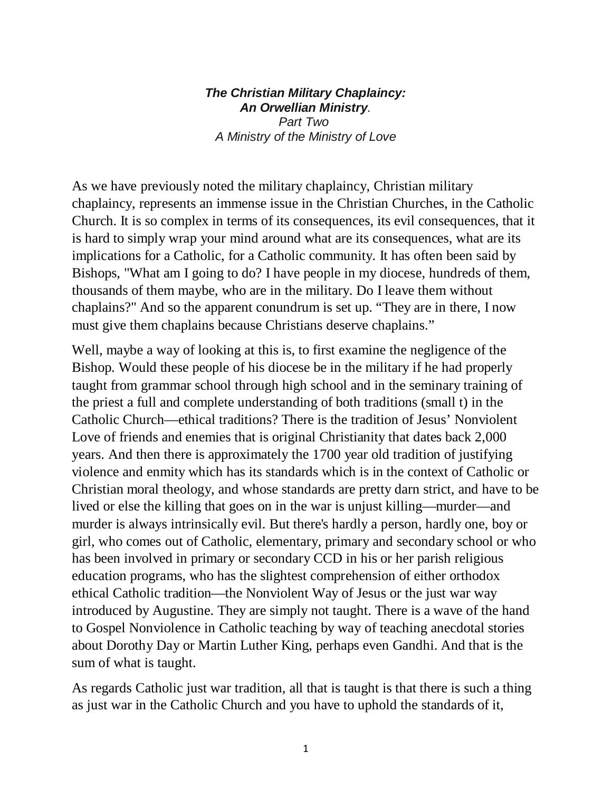*The Christian Military Chaplaincy: An Orwellian Ministry. Part Two A Ministry of the Ministry of Love*

As we have previously noted the military chaplaincy, Christian military chaplaincy, represents an immense issue in the Christian Churches, in the Catholic Church. It is so complex in terms of its consequences, its evil consequences, that it is hard to simply wrap your mind around what are its consequences, what are its implications for a Catholic, for a Catholic community. It has often been said by Bishops, "What am I going to do? I have people in my diocese, hundreds of them, thousands of them maybe, who are in the military. Do I leave them without chaplains?" And so the apparent conundrum is set up. "They are in there, I now must give them chaplains because Christians deserve chaplains."

Well, maybe a way of looking at this is, to first examine the negligence of the Bishop. Would these people of his diocese be in the military if he had properly taught from grammar school through high school and in the seminary training of the priest a full and complete understanding of both traditions (small t) in the Catholic Church—ethical traditions? There is the tradition of Jesus' Nonviolent Love of friends and enemies that is original Christianity that dates back 2,000 years. And then there is approximately the 1700 year old tradition of justifying violence and enmity which has its standards which is in the context of Catholic or Christian moral theology, and whose standards are pretty darn strict, and have to be lived or else the killing that goes on in the war is unjust killing—murder—and murder is always intrinsically evil. But there's hardly a person, hardly one, boy or girl, who comes out of Catholic, elementary, primary and secondary school or who has been involved in primary or secondary CCD in his or her parish religious education programs, who has the slightest comprehension of either orthodox ethical Catholic tradition—the Nonviolent Way of Jesus or the just war way introduced by Augustine. They are simply not taught. There is a wave of the hand to Gospel Nonviolence in Catholic teaching by way of teaching anecdotal stories about Dorothy Day or Martin Luther King, perhaps even Gandhi. And that is the sum of what is taught.

As regards Catholic just war tradition, all that is taught is that there is such a thing as just war in the Catholic Church and you have to uphold the standards of it,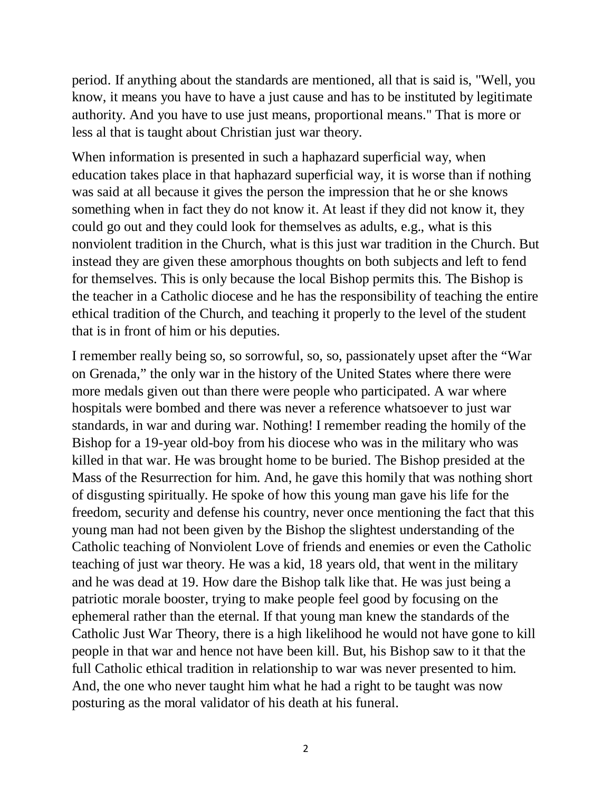period. If anything about the standards are mentioned, all that is said is, "Well, you know, it means you have to have a just cause and has to be instituted by legitimate authority. And you have to use just means, proportional means." That is more or less al that is taught about Christian just war theory.

When information is presented in such a haphazard superficial way, when education takes place in that haphazard superficial way, it is worse than if nothing was said at all because it gives the person the impression that he or she knows something when in fact they do not know it. At least if they did not know it, they could go out and they could look for themselves as adults, e.g., what is this nonviolent tradition in the Church, what is this just war tradition in the Church. But instead they are given these amorphous thoughts on both subjects and left to fend for themselves. This is only because the local Bishop permits this. The Bishop is the teacher in a Catholic diocese and he has the responsibility of teaching the entire ethical tradition of the Church, and teaching it properly to the level of the student that is in front of him or his deputies.

I remember really being so, so sorrowful, so, so, passionately upset after the "War on Grenada," the only war in the history of the United States where there were more medals given out than there were people who participated. A war where hospitals were bombed and there was never a reference whatsoever to just war standards, in war and during war. Nothing! I remember reading the homily of the Bishop for a 19-year old-boy from his diocese who was in the military who was killed in that war. He was brought home to be buried. The Bishop presided at the Mass of the Resurrection for him. And, he gave this homily that was nothing short of disgusting spiritually. He spoke of how this young man gave his life for the freedom, security and defense his country, never once mentioning the fact that this young man had not been given by the Bishop the slightest understanding of the Catholic teaching of Nonviolent Love of friends and enemies or even the Catholic teaching of just war theory. He was a kid, 18 years old, that went in the military and he was dead at 19. How dare the Bishop talk like that. He was just being a patriotic morale booster, trying to make people feel good by focusing on the ephemeral rather than the eternal. If that young man knew the standards of the Catholic Just War Theory, there is a high likelihood he would not have gone to kill people in that war and hence not have been kill. But, his Bishop saw to it that the full Catholic ethical tradition in relationship to war was never presented to him. And, the one who never taught him what he had a right to be taught was now posturing as the moral validator of his death at his funeral.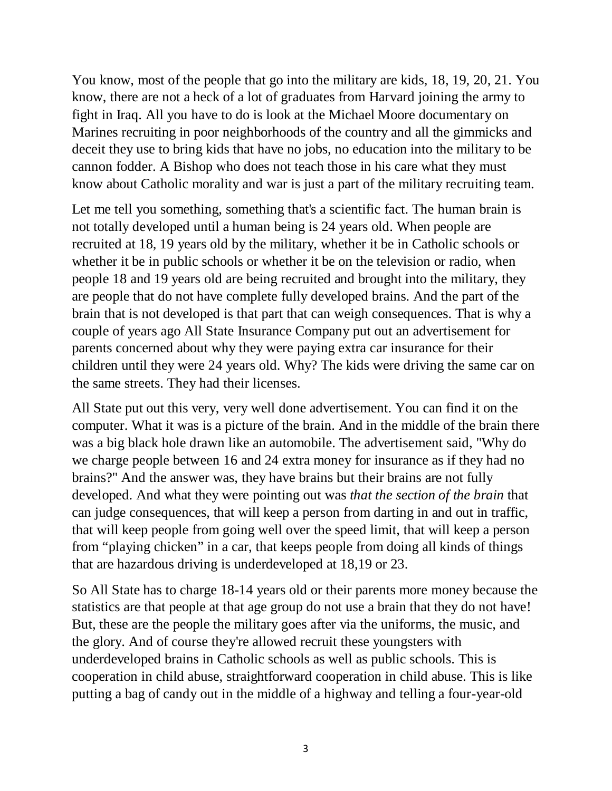You know, most of the people that go into the military are kids, 18, 19, 20, 21. You know, there are not a heck of a lot of graduates from Harvard joining the army to fight in Iraq. All you have to do is look at the Michael Moore documentary on Marines recruiting in poor neighborhoods of the country and all the gimmicks and deceit they use to bring kids that have no jobs, no education into the military to be cannon fodder. A Bishop who does not teach those in his care what they must know about Catholic morality and war is just a part of the military recruiting team.

Let me tell you something, something that's a scientific fact. The human brain is not totally developed until a human being is 24 years old. When people are recruited at 18, 19 years old by the military, whether it be in Catholic schools or whether it be in public schools or whether it be on the television or radio, when people 18 and 19 years old are being recruited and brought into the military, they are people that do not have complete fully developed brains. And the part of the brain that is not developed is that part that can weigh consequences. That is why a couple of years ago All State Insurance Company put out an advertisement for parents concerned about why they were paying extra car insurance for their children until they were 24 years old. Why? The kids were driving the same car on the same streets. They had their licenses.

All State put out this very, very well done advertisement. You can find it on the computer. What it was is a picture of the brain. And in the middle of the brain there was a big black hole drawn like an automobile. The advertisement said, "Why do we charge people between 16 and 24 extra money for insurance as if they had no brains?" And the answer was, they have brains but their brains are not fully developed. And what they were pointing out was *that the section of the brain* that can judge consequences, that will keep a person from darting in and out in traffic, that will keep people from going well over the speed limit, that will keep a person from "playing chicken" in a car, that keeps people from doing all kinds of things that are hazardous driving is underdeveloped at 18,19 or 23.

So All State has to charge 18-14 years old or their parents more money because the statistics are that people at that age group do not use a brain that they do not have! But, these are the people the military goes after via the uniforms, the music, and the glory. And of course they're allowed recruit these youngsters with underdeveloped brains in Catholic schools as well as public schools. This is cooperation in child abuse, straightforward cooperation in child abuse. This is like putting a bag of candy out in the middle of a highway and telling a four-year-old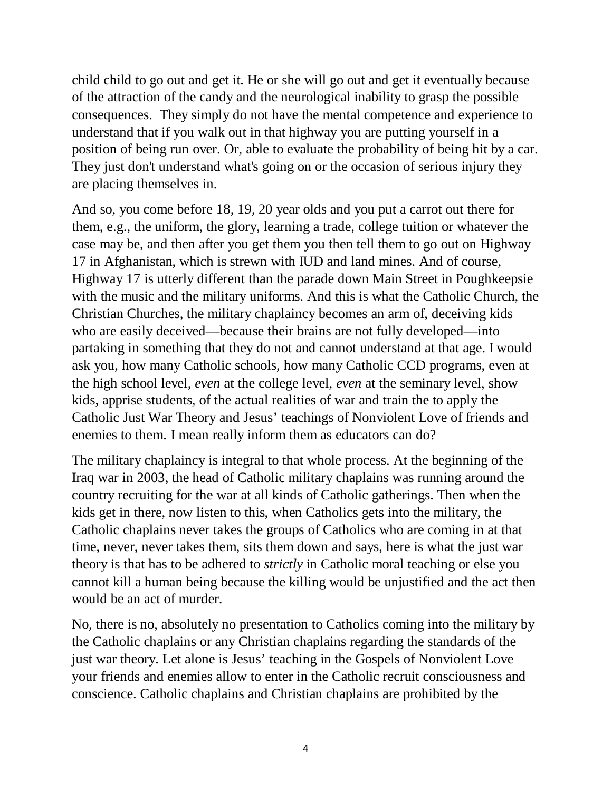child child to go out and get it. He or she will go out and get it eventually because of the attraction of the candy and the neurological inability to grasp the possible consequences. They simply do not have the mental competence and experience to understand that if you walk out in that highway you are putting yourself in a position of being run over. Or, able to evaluate the probability of being hit by a car. They just don't understand what's going on or the occasion of serious injury they are placing themselves in.

And so, you come before 18, 19, 20 year olds and you put a carrot out there for them, e.g., the uniform, the glory, learning a trade, college tuition or whatever the case may be, and then after you get them you then tell them to go out on Highway 17 in Afghanistan, which is strewn with IUD and land mines. And of course, Highway 17 is utterly different than the parade down Main Street in Poughkeepsie with the music and the military uniforms. And this is what the Catholic Church, the Christian Churches, the military chaplaincy becomes an arm of, deceiving kids who are easily deceived—because their brains are not fully developed—into partaking in something that they do not and cannot understand at that age. I would ask you, how many Catholic schools, how many Catholic CCD programs, even at the high school level, *even* at the college level, *even* at the seminary level, show kids, apprise students, of the actual realities of war and train the to apply the Catholic Just War Theory and Jesus' teachings of Nonviolent Love of friends and enemies to them. I mean really inform them as educators can do?

The military chaplaincy is integral to that whole process. At the beginning of the Iraq war in 2003, the head of Catholic military chaplains was running around the country recruiting for the war at all kinds of Catholic gatherings. Then when the kids get in there, now listen to this, when Catholics gets into the military, the Catholic chaplains never takes the groups of Catholics who are coming in at that time, never, never takes them, sits them down and says, here is what the just war theory is that has to be adhered to *strictly* in Catholic moral teaching or else you cannot kill a human being because the killing would be unjustified and the act then would be an act of murder.

No, there is no, absolutely no presentation to Catholics coming into the military by the Catholic chaplains or any Christian chaplains regarding the standards of the just war theory. Let alone is Jesus' teaching in the Gospels of Nonviolent Love your friends and enemies allow to enter in the Catholic recruit consciousness and conscience. Catholic chaplains and Christian chaplains are prohibited by the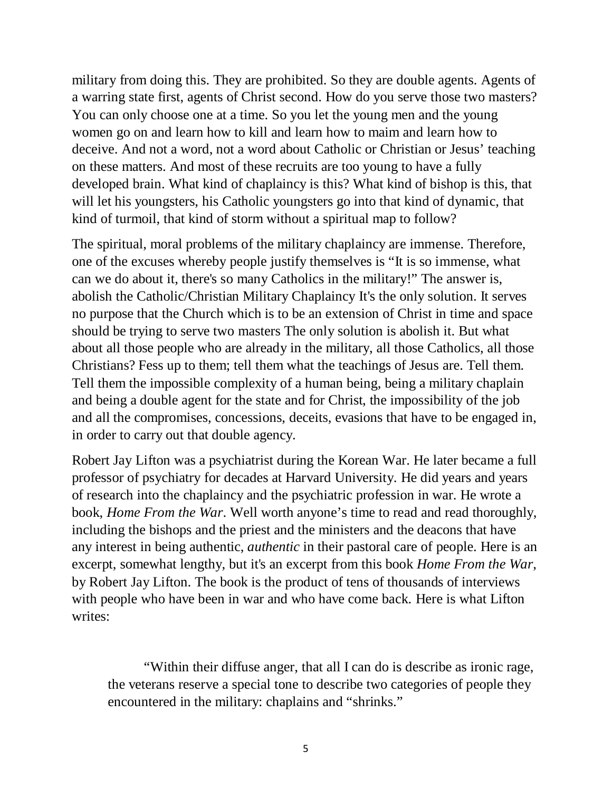military from doing this. They are prohibited. So they are double agents. Agents of a warring state first, agents of Christ second. How do you serve those two masters? You can only choose one at a time. So you let the young men and the young women go on and learn how to kill and learn how to maim and learn how to deceive. And not a word, not a word about Catholic or Christian or Jesus' teaching on these matters. And most of these recruits are too young to have a fully developed brain. What kind of chaplaincy is this? What kind of bishop is this, that will let his youngsters, his Catholic youngsters go into that kind of dynamic, that kind of turmoil, that kind of storm without a spiritual map to follow?

The spiritual, moral problems of the military chaplaincy are immense. Therefore, one of the excuses whereby people justify themselves is "It is so immense, what can we do about it, there's so many Catholics in the military!" The answer is, abolish the Catholic/Christian Military Chaplaincy It's the only solution. It serves no purpose that the Church which is to be an extension of Christ in time and space should be trying to serve two masters The only solution is abolish it. But what about all those people who are already in the military, all those Catholics, all those Christians? Fess up to them; tell them what the teachings of Jesus are. Tell them. Tell them the impossible complexity of a human being, being a military chaplain and being a double agent for the state and for Christ, the impossibility of the job and all the compromises, concessions, deceits, evasions that have to be engaged in, in order to carry out that double agency.

Robert Jay Lifton was a psychiatrist during the Korean War. He later became a full professor of psychiatry for decades at Harvard University. He did years and years of research into the chaplaincy and the psychiatric profession in war. He wrote a book, *Home From the War*. Well worth anyone's time to read and read thoroughly, including the bishops and the priest and the ministers and the deacons that have any interest in being authentic, *authentic* in their pastoral care of people. Here is an excerpt, somewhat lengthy, but it's an excerpt from this book *Home From the War*, by Robert Jay Lifton. The book is the product of tens of thousands of interviews with people who have been in war and who have come back. Here is what Lifton writes:

"Within their diffuse anger, that all I can do is describe as ironic rage, the veterans reserve a special tone to describe two categories of people they encountered in the military: chaplains and "shrinks."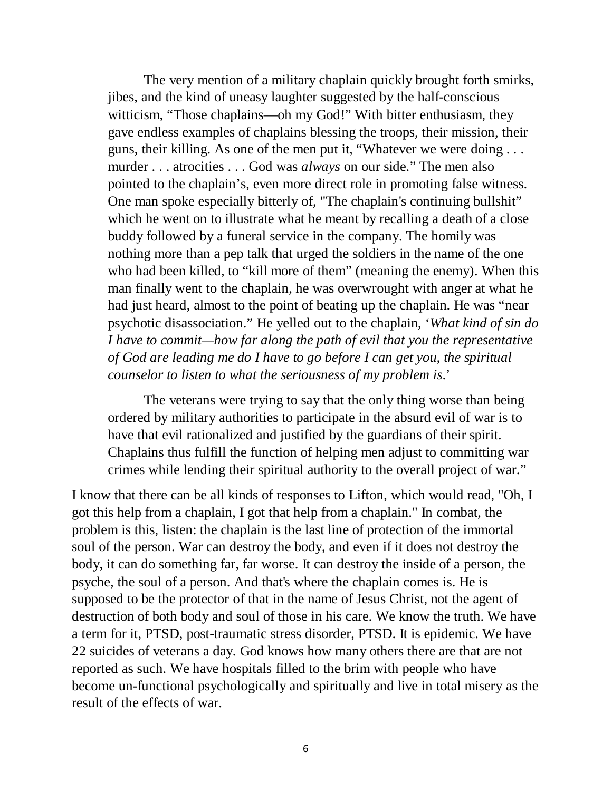The very mention of a military chaplain quickly brought forth smirks, jibes, and the kind of uneasy laughter suggested by the half-conscious witticism, "Those chaplains—oh my God!" With bitter enthusiasm, they gave endless examples of chaplains blessing the troops, their mission, their guns, their killing. As one of the men put it, "Whatever we were doing . . . murder . . . atrocities . . . God was *always* on our side." The men also pointed to the chaplain's, even more direct role in promoting false witness. One man spoke especially bitterly of, "The chaplain's continuing bullshit" which he went on to illustrate what he meant by recalling a death of a close buddy followed by a funeral service in the company. The homily was nothing more than a pep talk that urged the soldiers in the name of the one who had been killed, to "kill more of them" (meaning the enemy). When this man finally went to the chaplain, he was overwrought with anger at what he had just heard, almost to the point of beating up the chaplain. He was "near psychotic disassociation." He yelled out to the chaplain, '*What kind of sin do I have to commit—how far along the path of evil that you the representative of God are leading me do I have to go before I can get you, the spiritual counselor to listen to what the seriousness of my problem is*.'

The veterans were trying to say that the only thing worse than being ordered by military authorities to participate in the absurd evil of war is to have that evil rationalized and justified by the guardians of their spirit. Chaplains thus fulfill the function of helping men adjust to committing war crimes while lending their spiritual authority to the overall project of war."

I know that there can be all kinds of responses to Lifton, which would read, "Oh, I got this help from a chaplain, I got that help from a chaplain." In combat, the problem is this, listen: the chaplain is the last line of protection of the immortal soul of the person. War can destroy the body, and even if it does not destroy the body, it can do something far, far worse. It can destroy the inside of a person, the psyche, the soul of a person. And that's where the chaplain comes is. He is supposed to be the protector of that in the name of Jesus Christ, not the agent of destruction of both body and soul of those in his care. We know the truth. We have a term for it, PTSD, post-traumatic stress disorder, PTSD. It is epidemic. We have 22 suicides of veterans a day. God knows how many others there are that are not reported as such. We have hospitals filled to the brim with people who have become un-functional psychologically and spiritually and live in total misery as the result of the effects of war.